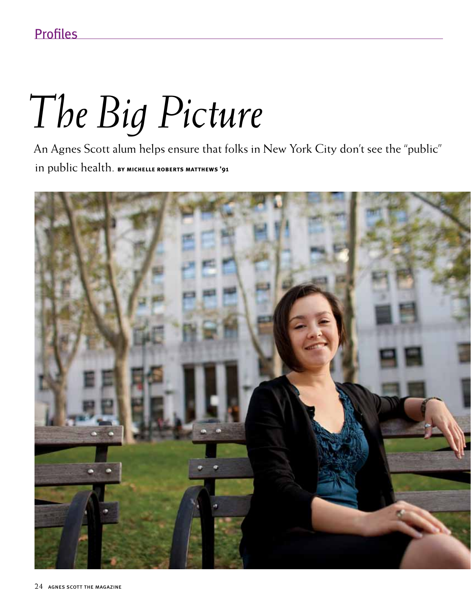## *The Big Picture*

An Agnes Scott alum helps ensure that folks in New York City don't see the "public" in public health. **by michelle roberts matthews '91**